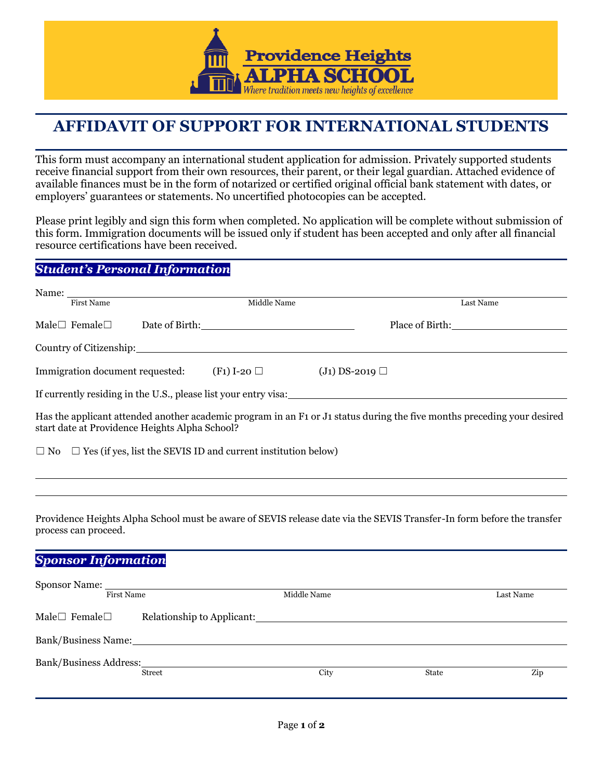

## **AFFIDAVIT OF SUPPORT FOR INTERNATIONAL STUDENTS**

This form must accompany an international student application for admission. Privately supported students receive financial support from their own resources, their parent, or their legal guardian. Attached evidence of available finances must be in the form of notarized or certified original official bank statement with dates, or employers' guarantees or statements. No uncertified photocopies can be accepted.

Please print legibly and sign this form when completed. No application will be complete without submission of this form. Immigration documents will be issued only if student has been accepted and only after all financial resource certifications have been received.

## *Student's Personal Information*

| First Name                      | Middle Name                                                                                                                                                                                                                   | Last Name                                                       |  |
|---------------------------------|-------------------------------------------------------------------------------------------------------------------------------------------------------------------------------------------------------------------------------|-----------------------------------------------------------------|--|
| Male $\Box$ Female $\Box$       | Date of Birth: 2008 and 2008 and 2008 and 2008 and 2008 and 2008 and 2008 and 2008 and 2008 and 2008 and 2008 and 2008 and 2008 and 2008 and 2008 and 2008 and 2008 and 2008 and 2008 and 2008 and 2008 and 2008 and 2008 and | Place of Birth: 2008                                            |  |
|                                 |                                                                                                                                                                                                                               |                                                                 |  |
| Immigration document requested: | $(F1)$ I-20 $\Box$                                                                                                                                                                                                            | $(J_1)$ DS-2019 $\Box$                                          |  |
|                                 |                                                                                                                                                                                                                               | If currently residing in the U.S., please list your entry visa: |  |
|                                 |                                                                                                                                                                                                                               |                                                                 |  |

Has the applicant attended another academic program in an F1 or J1 status during the five months preceding your desired start date at Providence Heights Alpha School?

 $\Box$  No  $\Box$  Yes (if yes, list the SEVIS ID and current institution below)

Providence Heights Alpha School must be aware of SEVIS release date via the SEVIS Transfer-In form before the transfer process can proceed.

| <b>Sponsor Information</b>                                                                                                                                                                                                     |                                         |             |       |           |  |  |  |
|--------------------------------------------------------------------------------------------------------------------------------------------------------------------------------------------------------------------------------|-----------------------------------------|-------------|-------|-----------|--|--|--|
| <b>First Name</b>                                                                                                                                                                                                              |                                         | Middle Name |       | Last Name |  |  |  |
| Male $\Box$ Female $\Box$                                                                                                                                                                                                      |                                         |             |       |           |  |  |  |
| Bank/Business Name: 2008 and 2008 and 2008 and 2008 and 2008 and 2008 and 2008 and 2008 and 2008 and 2008 and 2008 and 2008 and 2008 and 2008 and 2008 and 2008 and 2008 and 2008 and 2008 and 2008 and 2008 and 2008 and 2008 |                                         |             |       |           |  |  |  |
|                                                                                                                                                                                                                                | Bank/Business Address:<br><b>Street</b> | City        | State | Zip       |  |  |  |
|                                                                                                                                                                                                                                |                                         |             |       |           |  |  |  |